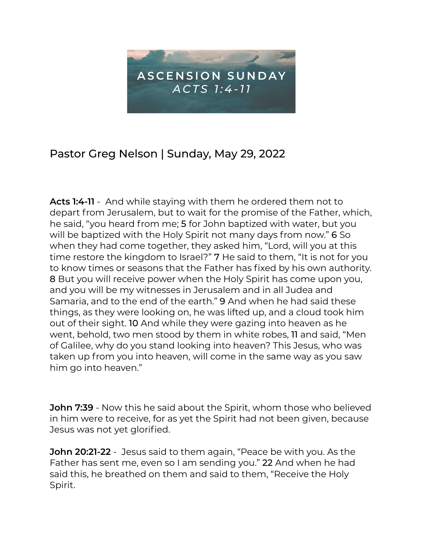

## Pastor Greg Nelson | Sunday, May 29, 2022

**Acts 1:4-11** - And while staying with them he ordered them not to depart from Jerusalem, but to wait for the promise of the Father, which, he said, "you heard from me; 5 for John baptized with water, but you will be baptized with the Holy Spirit not many days from now." 6 So when they had come together, they asked him, "Lord, will you at this time restore the kingdom to Israel?" 7 He said to them, "It is not for you to know times or seasons that the Father has fixed by his own authority. 8 But you will receive power when the Holy Spirit has come upon you, and you will be my witnesses in Jerusalem and in all Judea and Samaria, and to the end of the earth." 9 And when he had said these things, as they were looking on, he was lifted up, and a cloud took him out of their sight. 10 And while they were gazing into heaven as he went, behold, two men stood by them in white robes, 11 and said, "Men of Galilee, why do you stand looking into heaven? This Jesus, who was taken up from you into heaven, will come in the same way as you saw him go into heaven."

**John 7:39** - Now this he said about the Spirit, whom those who believed in him were to receive, for as yet the Spirit had not been given, because Jesus was not yet glorified.

**John 20:21-22** - Jesus said to them again, "Peace be with you. As the Father has sent me, even so I am sending you." 22 And when he had said this, he breathed on them and said to them, "Receive the Holy Spirit.